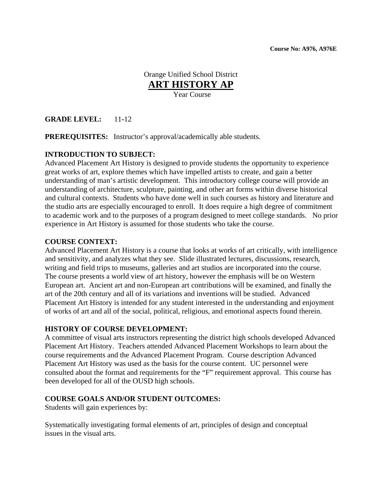Orange Unified School District **ART HISTORY AP** Year Course

**GRADE LEVEL:** 11-12

**PREREQUISITES:** Instructor's approval/academically able students.

### **INTRODUCTION TO SUBJECT:**

Advanced Placement Art History is designed to provide students the opportunity to experience great works of art, explore themes which have impelled artists to create, and gain a better understanding of man's artistic development. This introductory college course will provide an understanding of architecture, sculpture, painting, and other art forms within diverse historical and cultural contexts. Students who have done well in such courses as history and literature and the studio arts are especially encouraged to enroll. It does require a high degree of commitment to academic work and to the purposes of a program designed to meet college standards. No prior experience in Art History is assumed for those students who take the course.

#### **COURSE CONTEXT:**

 Advanced Placement Art History is a course that looks at works of art critically, with intelligence and sensitivity, and analyzes what they see. Slide illustrated lectures, discussions, research, writing and field trips to museums, galleries and art studios are incorporated into the course. The course presents a world view of art history, however the emphasis will be on Western European art. Ancient art and non-European art contributions will be examined, and finally the art of the 20th century and all of its variations and inventions will be studied. Advanced Placement Art History is intended for any student interested in the understanding and enjoyment of works of art and all of the social, political, religious, and emotional aspects found therein.

#### **HISTORY OF COURSE DEVELOPMENT:**

A committee of visual arts instructors representing the district high schools developed Advanced Placement Art History. Teachers attended Advanced Placement Workshops to learn about the course requirements and the Advanced Placement Program. Course description Advanced Placement Art History was used as the basis for the course content. UC personnel were consulted about the format and requirements for the "F" requirement approval. This course has been developed for all of the OUSD high schools.

#### **COURSE GOALS AND/OR STUDENT OUTCOMES:**

Students will gain experiences by:

Systematically investigating formal elements of art, principles of design and conceptual issues in the visual arts.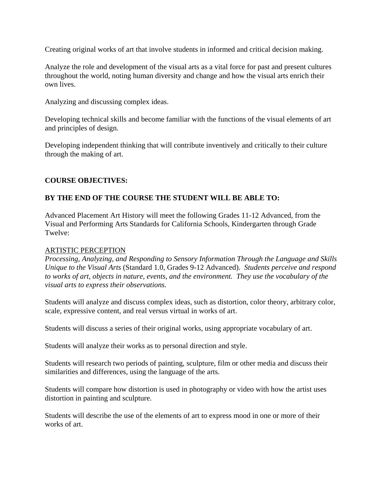Creating original works of art that involve students in informed and critical decision making.

Analyze the role and development of the visual arts as a vital force for past and present cultures throughout the world, noting human diversity and change and how the visual arts enrich their own lives.

Analyzing and discussing complex ideas.

Developing technical skills and become familiar with the functions of the visual elements of art and principles of design.

Developing independent thinking that will contribute inventively and critically to their culture through the making of art.

# **COURSE OBJECTIVES:**

# **BY THE END OF THE COURSE THE STUDENT WILL BE ABLE TO:**

Advanced Placement Art History will meet the following Grades 11-12 Advanced, from the Visual and Performing Arts Standards for California Schools, Kindergarten through Grade Twelve:

#### ARTISTIC PERCEPTION

 *Processing, Analyzing, and Responding to Sensory Information Through the Language and Skills Unique to the Visual Arts* (Standard 1.0, Grades 9-12 Advanced). *Students perceive and respond to works of art, objects in nature, events, and the environment. They use the vocabulary of the visual arts to express their observations.* 

Students will analyze and discuss complex ideas, such as distortion, color theory, arbitrary color, scale, expressive content, and real versus virtual in works of art.

Students will discuss a series of their original works, using appropriate vocabulary of art.

Students will analyze their works as to personal direction and style.

Students will research two periods of painting, sculpture, film or other media and discuss their similarities and differences, using the language of the arts.

Students will compare how distortion is used in photography or video with how the artist uses distortion in painting and sculpture.

Students will describe the use of the elements of art to express mood in one or more of their works of art.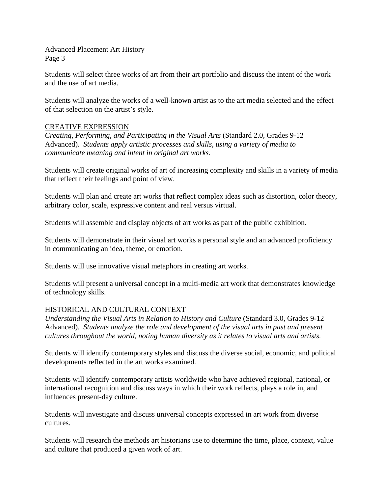Students will select three works of art from their art portfolio and discuss the intent of the work and the use of art media.

Students will analyze the works of a well-known artist as to the art media selected and the effect of that selection on the artist's style.

### CREATIVE EXPRESSION

 *Creating, Performing, and Participating in the Visual Arts* (Standard 2.0, Grades 9-12 Advanced). *Students apply artistic processes and skills, using a variety of media to communicate meaning and intent in original art works.* 

Students will create original works of art of increasing complexity and skills in a variety of media that reflect their feelings and point of view.

Students will plan and create art works that reflect complex ideas such as distortion, color theory, arbitrary color, scale, expressive content and real versus virtual.

Students will assemble and display objects of art works as part of the public exhibition.

Students will demonstrate in their visual art works a personal style and an advanced proficiency in communicating an idea, theme, or emotion.

Students will use innovative visual metaphors in creating art works.

Students will present a universal concept in a multi-media art work that demonstrates knowledge of technology skills.

#### HISTORICAL AND CULTURAL CONTEXT

*Understanding the Visual Arts in Relation to History and Culture (Standard 3.0, Grades 9-12* Advanced). *Students analyze the role and development of the visual arts in past and present cultures throughout the world, noting human diversity as it relates to visual arts and artists.* 

Students will identify contemporary styles and discuss the diverse social, economic, and political developments reflected in the art works examined.

Students will identify contemporary artists worldwide who have achieved regional, national, or international recognition and discuss ways in which their work reflects, plays a role in, and influences present-day culture.

Students will investigate and discuss universal concepts expressed in art work from diverse cultures.

Students will research the methods art historians use to determine the time, place, context, value and culture that produced a given work of art.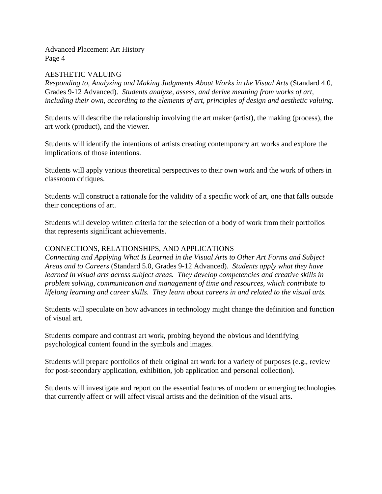### AESTHETIC VALUING

*Responding to, Analyzing and Making Judgments About Works in the Visual Arts* (Standard 4.0, Grades 9-12 Advanced). *Students analyze, assess, and derive meaning from works of art, including their own, according to the elements of art, principles of design and aesthetic valuing.* 

Students will describe the relationship involving the art maker (artist), the making (process), the art work (product), and the viewer.

Students will identify the intentions of artists creating contemporary art works and explore the implications of those intentions.

Students will apply various theoretical perspectives to their own work and the work of others in classroom critiques.

Students will construct a rationale for the validity of a specific work of art, one that falls outside their conceptions of art.

Students will develop written criteria for the selection of a body of work from their portfolios that represents significant achievements.

## CONNECTIONS, RELATIONSHIPS, AND APPLICATIONS

*Connecting and Applying What Is Learned in the Visual Arts to Other Art Forms and Subject Areas and to Careers* (Standard 5.0, Grades 9-12 Advanced). *Students apply what they have learned in visual arts across subject areas. They develop competencies and creative skills in problem solving, communication and management of time and resources, which contribute to lifelong learning and career skills. They learn about careers in and related to the visual arts.* 

Students will speculate on how advances in technology might change the definition and function of visual art.

Students compare and contrast art work, probing beyond the obvious and identifying psychological content found in the symbols and images.

Students will prepare portfolios of their original art work for a variety of purposes (e.g., review for post-secondary application, exhibition, job application and personal collection).

Students will investigate and report on the essential features of modern or emerging technologies that currently affect or will affect visual artists and the definition of the visual arts.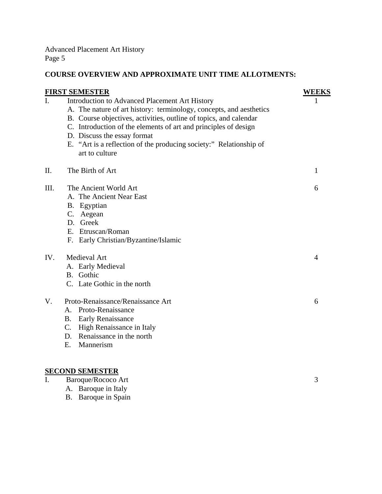B. Baroque in Spain

# **COURSE OVERVIEW AND APPROXIMATE UNIT TIME ALLOTMENTS:**

|             | <b>FIRST SEMESTER</b>                                                                | <b>WEEKS</b> |
|-------------|--------------------------------------------------------------------------------------|--------------|
| $I_{\cdot}$ | Introduction to Advanced Placement Art History                                       | L            |
|             | A. The nature of art history: terminology, concepts, and aesthetics                  |              |
|             | B. Course objectives, activities, outline of topics, and calendar                    |              |
|             | C. Introduction of the elements of art and principles of design                      |              |
|             | D. Discuss the essay format                                                          |              |
|             | E. "Art is a reflection of the producing society:" Relationship of<br>art to culture |              |
| Π.          | The Birth of Art                                                                     | $\mathbf{1}$ |
| III.        | The Ancient World Art                                                                | 6            |
|             | A. The Ancient Near East                                                             |              |
|             | B. Egyptian                                                                          |              |
|             | C. Aegean                                                                            |              |
|             | D. Greek                                                                             |              |
|             | E. Etruscan/Roman                                                                    |              |
|             | F. Early Christian/Byzantine/Islamic                                                 |              |
| IV.         | Medieval Art                                                                         | 4            |
|             | A. Early Medieval                                                                    |              |
|             | B. Gothic                                                                            |              |
|             | C. Late Gothic in the north                                                          |              |
| $V_{\cdot}$ | Proto-Renaissance/Renaissance Art                                                    | 6            |
|             | A. Proto-Renaissance                                                                 |              |
|             | <b>B.</b> Early Renaissance                                                          |              |
|             | C. High Renaissance in Italy                                                         |              |
|             | D. Renaissance in the north                                                          |              |
|             | Mannerism<br>E.                                                                      |              |
|             | <b>SECOND SEMESTER</b>                                                               |              |
| I.          | Baroque/Rococo Art                                                                   | 3            |
|             | A. Baroque in Italy                                                                  |              |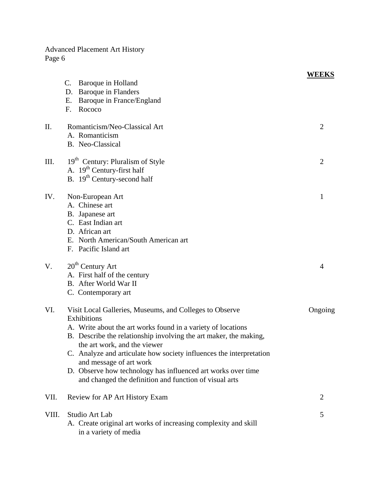|       |                                                                     | <b>WEEKS</b>   |
|-------|---------------------------------------------------------------------|----------------|
|       | Baroque in Holland<br>C.                                            |                |
|       | D. Baroque in Flanders                                              |                |
|       | Baroque in France/England<br>Ε.                                     |                |
|       | Rococo<br>F.                                                        |                |
|       |                                                                     |                |
| Η.    | Romanticism/Neo-Classical Art                                       | $\overline{2}$ |
|       | A. Romanticism                                                      |                |
|       | B. Neo-Classical                                                    |                |
| III.  | 19 <sup>th</sup> Century: Pluralism of Style                        | $\overline{2}$ |
|       | A. $19th$ Century-first half                                        |                |
|       | B. 19 <sup>th</sup> Century-second half                             |                |
| IV.   | Non-European Art                                                    | 1              |
|       | A. Chinese art                                                      |                |
|       | B. Japanese art                                                     |                |
|       | C. East Indian art                                                  |                |
|       | D. African art                                                      |                |
|       | E. North American/South American art                                |                |
|       | F. Pacific Island art                                               |                |
| V.    | $20th$ Century Art                                                  | $\overline{4}$ |
|       | A. First half of the century                                        |                |
|       | B. After World War II                                               |                |
|       | C. Contemporary art                                                 |                |
|       |                                                                     |                |
| VI.   | Visit Local Galleries, Museums, and Colleges to Observe             | Ongoing        |
|       | Exhibitions                                                         |                |
|       | A. Write about the art works found in a variety of locations        |                |
|       | B. Describe the relationship involving the art maker, the making,   |                |
|       | the art work, and the viewer                                        |                |
|       | C. Analyze and articulate how society influences the interpretation |                |
|       | and message of art work                                             |                |
|       | D. Observe how technology has influenced art works over time        |                |
|       | and changed the definition and function of visual arts              |                |
| VII.  | Review for AP Art History Exam                                      | $\overline{2}$ |
|       |                                                                     |                |
| VIII. | Studio Art Lab                                                      | 5              |
|       | A. Create original art works of increasing complexity and skill     |                |
|       | in a variety of media                                               |                |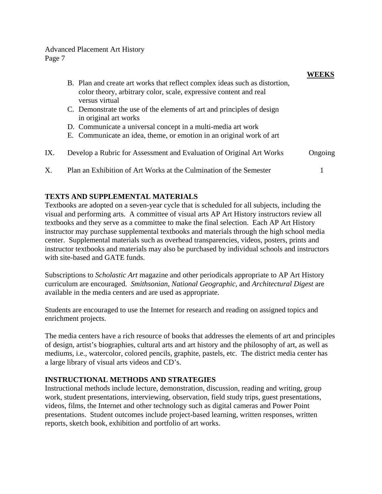|     | B. Plan and create art works that reflect complex ideas such as distortion,<br>color theory, arbitrary color, scale, expressive content and real<br>versus virtual |         |
|-----|--------------------------------------------------------------------------------------------------------------------------------------------------------------------|---------|
|     | C. Demonstrate the use of the elements of art and principles of design<br>in original art works                                                                    |         |
|     | D. Communicate a universal concept in a multi-media art work                                                                                                       |         |
|     | E. Communicate an idea, theme, or emotion in an original work of art                                                                                               |         |
| IX. | Develop a Rubric for Assessment and Evaluation of Original Art Works                                                                                               | Ongoing |
| Χ.  | Plan an Exhibition of Art Works at the Culmination of the Semester                                                                                                 |         |

# **TEXTS AND SUPPLEMENTAL MATERIALS**

Textbooks are adopted on a seven-year cycle that is scheduled for all subjects, including the visual and performing arts. A committee of visual arts AP Art History instructors review all textbooks and they serve as a committee to make the final selection. Each AP Art History instructor may purchase supplemental textbooks and materials through the high school media center. Supplemental materials such as overhead transparencies, videos, posters, prints and instructor textbooks and materials may also be purchased by individual schools and instructors with site-based and GATE funds.

Subscriptions to *Scholastic Art* magazine and other periodicals appropriate to AP Art History curriculum are encouraged. *Smithsonian, National Geographic,* and *Architectural Digest* are available in the media centers and are used as appropriate.

Students are encouraged to use the Internet for research and reading on assigned topics and enrichment projects.

The media centers have a rich resource of books that addresses the elements of art and principles of design, artist's biographies, cultural arts and art history and the philosophy of art, as well as mediums, i.e., watercolor, colored pencils, graphite, pastels, etc. The district media center has a large library of visual arts videos and CD's.

# **INSTRUCTIONAL METHODS AND STRATEGIES**

Instructional methods include lecture, demonstration, discussion, reading and writing, group work, student presentations, interviewing, observation, field study trips, guest presentations, videos, films, the Internet and other technology such as digital cameras and Power Point presentations. Student outcomes include project-based learning, written responses, written reports, sketch book, exhibition and portfolio of art works.